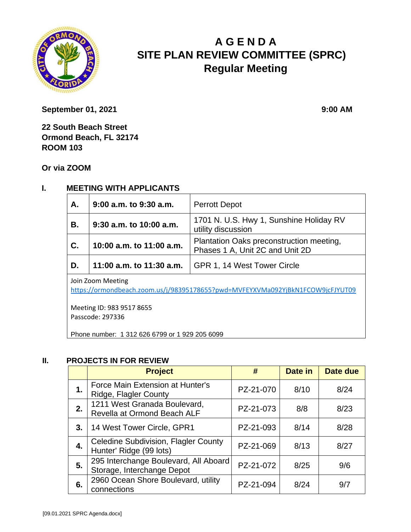

# **A G E N D A SITE PLAN REVIEW COMMITTEE (SPRC) Regular Meeting**

**September 01, 2021** 9:00 **AM** 

**22 South Beach Street Ormond Beach, FL 32174 ROOM 103**

**Or via ZOOM**

### **I. MEETING WITH APPLICANTS**

| А. | $9:00$ a.m. to $9:30$ a.m. | <b>Perrott Depot</b>                                                           |
|----|----------------------------|--------------------------------------------------------------------------------|
| В. | $9:30$ a.m. to 10:00 a.m.  | 1701 N. U.S. Hwy 1, Sunshine Holiday RV<br>utility discussion                  |
| C. | 10:00 a.m. to 11:00 a.m.   | Plantation Oaks preconstruction meeting,<br>Phases 1 A, Unit 2C and Unit 2D    |
|    |                            |                                                                                |
| D. | 11:00 a.m. to 11:30 a.m.   | GPR 1, 14 West Tower Circle                                                    |
|    | Join Zoom Meeting          | https://ormondbeach.zoom.us/j/98395178655?pwd=MVFEYXVMa092YjBkN1FCOW9jcFJYUT09 |

Phone number: 1 312 626 6799 or 1 929 205 6099

#### **II. PROJECTS IN FOR REVIEW**

|    | <b>Project</b>                                                         | #         | Date in | Date due |
|----|------------------------------------------------------------------------|-----------|---------|----------|
| 1. | Force Main Extension at Hunter's<br>Ridge, Flagler County              | PZ-21-070 | 8/10    | 8/24     |
| 2. | 1211 West Granada Boulevard,<br>Revella at Ormond Beach ALF            | PZ-21-073 | 8/8     | 8/23     |
| 3. | 14 West Tower Circle, GPR1                                             | PZ-21-093 | 8/14    | 8/28     |
| 4. | <b>Celedine Subdivision, Flagler County</b><br>Hunter' Ridge (99 lots) | PZ-21-069 | 8/13    | 8/27     |
| 5. | 295 Interchange Boulevard, All Aboard<br>Storage, Interchange Depot    | PZ-21-072 | 8/25    | 9/6      |
| 6. | 2960 Ocean Shore Boulevard, utility<br>connections                     | PZ-21-094 | 8/24    | 9/7      |